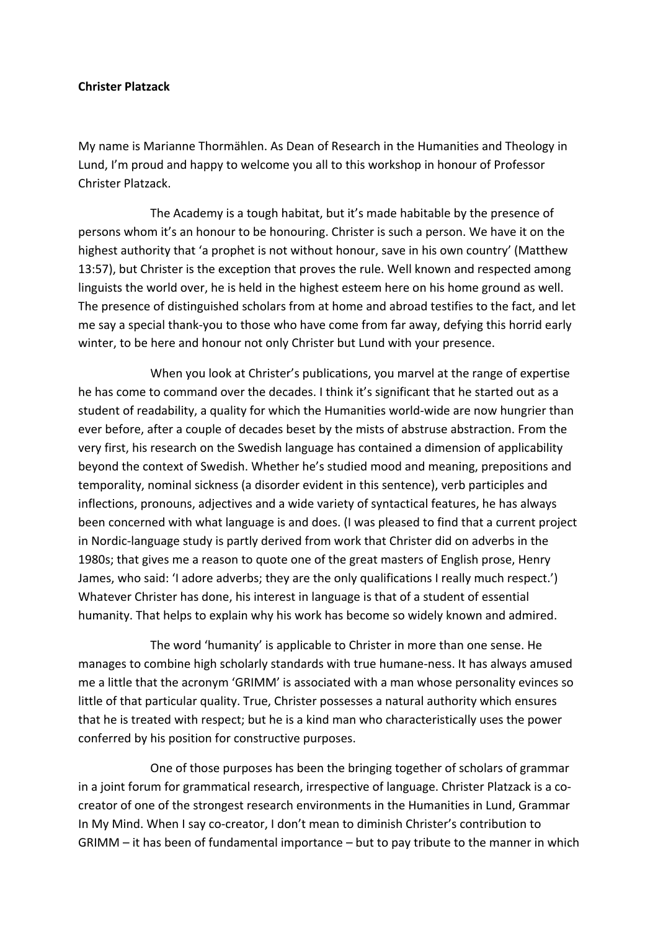## **Christer Platzack**

My name is Marianne Thormählen. As Dean of Research in the Humanities and Theology in Lund, I'm proud and happy to welcome you all to this workshop in honour of Professor Christer Platzack.

The Academy is a tough habitat, but it's made habitable by the presence of persons whom it's an honour to be honouring. Christer is such a person. We have it on the highest authority that 'a prophet is not without honour, save in his own country' (Matthew 13:57), but Christer is the exception that proves the rule. Well known and respected among linguists the world over, he is held in the highest esteem here on his home ground as well. The presence of distinguished scholars from at home and abroad testifies to the fact, and let me say a special thank‐you to those who have come from far away, defying this horrid early winter, to be here and honour not only Christer but Lund with your presence.

When you look at Christer's publications, you marvel at the range of expertise he has come to command over the decades. I think it's significant that he started out as a student of readability, a quality for which the Humanities world‐wide are now hungrier than ever before, after a couple of decades beset by the mists of abstruse abstraction. From the very first, his research on the Swedish language has contained a dimension of applicability beyond the context of Swedish. Whether he's studied mood and meaning, prepositions and temporality, nominal sickness (a disorder evident in this sentence), verb participles and inflections, pronouns, adjectives and a wide variety of syntactical features, he has always been concerned with what language is and does. (I was pleased to find that a current project in Nordic‐language study is partly derived from work that Christer did on adverbs in the 1980s; that gives me a reason to quote one of the great masters of English prose, Henry James, who said: 'I adore adverbs; they are the only qualifications I really much respect.') Whatever Christer has done, his interest in language is that of a student of essential humanity. That helps to explain why his work has become so widely known and admired.

The word 'humanity' is applicable to Christer in more than one sense. He manages to combine high scholarly standards with true humane-ness. It has always amused me a little that the acronym 'GRIMM' is associated with a man whose personality evinces so little of that particular quality. True, Christer possesses a natural authority which ensures that he is treated with respect; but he is a kind man who characteristically uses the power conferred by his position for constructive purposes.

One of those purposes has been the bringing together of scholars of grammar in a joint forum for grammatical research, irrespective of language. Christer Platzack is a cocreator of one of the strongest research environments in the Humanities in Lund, Grammar In My Mind. When I say co-creator, I don't mean to diminish Christer's contribution to GRIMM – it has been of fundamental importance – but to pay tribute to the manner in which